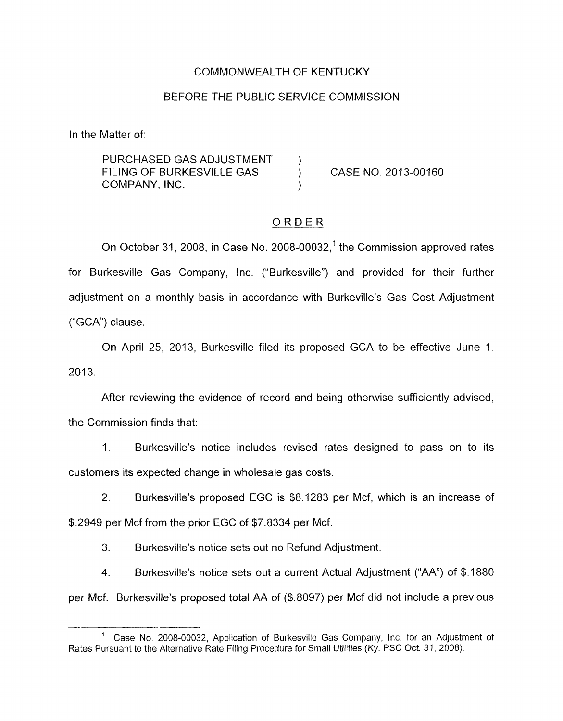## COMMONWEALTH OF KENTUCKY

#### BEFORE THE PUBLIC SERVICE COMMISSION

In the Matter of:

PURCHASED GAS ADJUSTMENT FILING OF BURKESVILLE GAS (CASE NO. 2013-00160) COMPANY, INC.

#### ORDER

On October 31, 2008, in Case No. 2008-00032,<sup>1</sup> the Commission approved rates for Burkesville Gas Company, Inc. ("Burkesville") and provided for their further adjustment on a monthly basis in accordance with Burkeville's Gas Cost Adjustment ("GCA") clause.

On April 25, 2013, Burkesville filed its proposed GCA to be effective June 1, 2013.

After reviewing the evidence of record and being otherwise sufficiently advised, the Commission finds that:

1. Burkesville's notice includes revised rates designed to pass on to its customers its expected change in wholesale gas costs.

2. Burkesville's proposed EGC is \$8.1283 per Mcf, which is an increase of \$.2949 per Mcf from the prior EGC of \$7.8334 per Mcf.

3. Burkesville's notice sets out no Refund Adjustment.

4. Burkesville's notice sets out a current Actual Adjustment ("AA") of \$.I 880 per Mcf. Burkesville's proposed total AA of (\$.8097) per Mcf did not include a previous

<sup>&</sup>lt;sup>1</sup> Case No. 2008-00032, Application of Burkesville Gas Company, Inc. for an Adjustment of Rates Pursuant to the Alternative Rate Filing Procedure for Small Utilities (Ky. PSC Oct 31, 2008).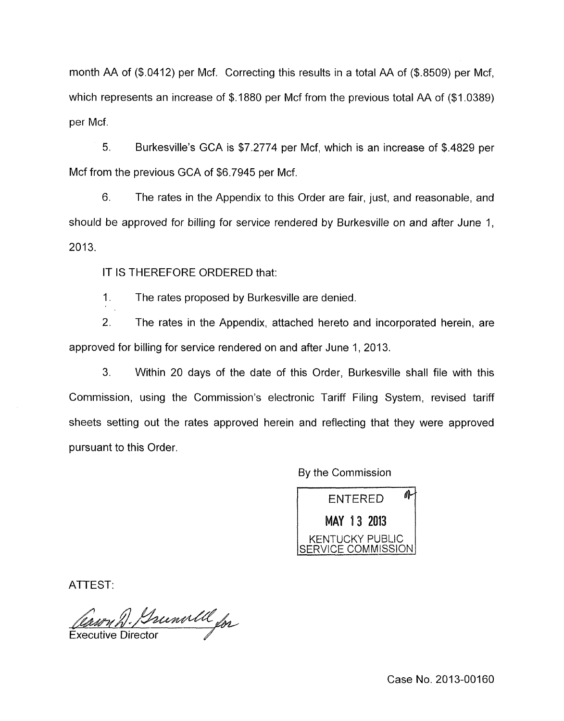month AA of  $(\$.0412)$  per Mcf. Correcting this results in a total AA of  $(\$.8509)$  per Mcf. which represents an increase of \$.1880 per Mcf from the previous total AA of (\$1.0389) per Mcf.

5. Burkesville's GCA is \$7.2774 per Mcf, which is an increase of \$.4829 per Mcf from the previous GCA of \$6.7945 per Mcf.

6. The rates in the Appendix to this Order are fair, just, and reasonable, and should be approved for billing for service rendered by Burkesville on and after June 1, 2013.

IT IS THEREFORE ORDERED that:

1. The rates proposed by Burkesville are denied.

2. The rates in the Appendix, attached hereto and incorporated herein, are approved for billing for service rendered on and after June 1, 2013.

3. Within 20 days of the date of this Order, Burkesville shall file with this Commission, using the Commission's electronic Tariff Filing System, revised tariff sheets setting out the rates approved herein and reflecting that they were approved pursuant to this Order

By the Commission

仆 **ENTERED** MAY 13 2013 (ENTUCKY PUBLIC COMMISSION

ATTEST:

Caury D. Bunwill for

Case No. 2013-00160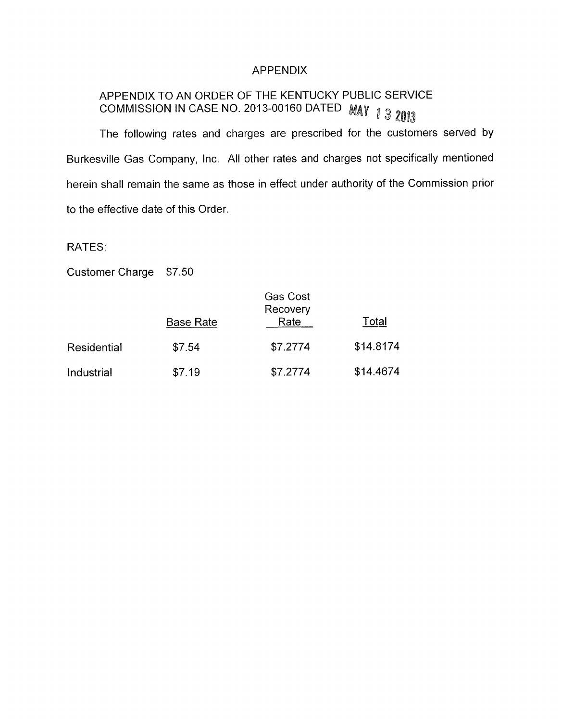## APPENDIX

# APPENDIX TO AN ORDER OF THE KENTUCKY PUBLIC SERVICE APPENDIA TO AN ONDER OF THE READ DATED MAY 13 2013

The following rates and charges are prescribed for the customers served by Burkesville Gas Company, Inc. All other rates and charges not specifically mentioned herein shall remain the same as those in effect under authority of the Commission prior to the effective date of this Order.

RATES:

Customer Charge \$7.50

|             | Gas Cost<br>Recovery |          |           |
|-------------|----------------------|----------|-----------|
|             | <b>Base Rate</b>     | Rate     | Total     |
| Residential | \$7.54               | \$7.2774 | \$14.8174 |
| Industrial  | \$7.19               | \$7.2774 | \$14.4674 |